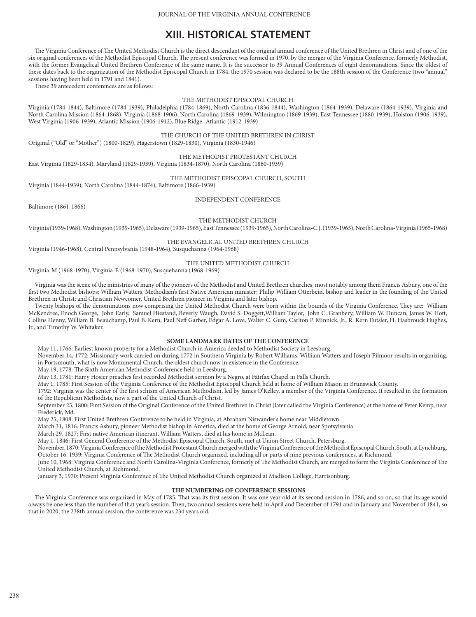# **XIII. HISTORICAL STATEMENT**

The Virginia Conference of The United Methodist Church is the direct descendant of the original annual conference of the United Brethren in Christ and of one of the six original conferences of the Methodist Episcopal Church. The present conference was formed in 1970, by the merger of the Virginia Conference, formerly Methodist, with the former Evangelical United Brethren Conference of the same name. It is the successor to 39 Annual Conferences of eight denominations. Since the oldest of these dates back to the organization of the Methodist Episcopal Church in 1784, the 1970 session was declared to be the 188th session of the Conference (two "annual" sessions having been held in 1791 and 1841).

These 39 antecedent conferences are as follows:

#### THE METHODIST EPISCOPAL CHURCH

Virginia (1784-1844), Baltimore (1784-1939), Philadelphia (1784-1869), North Carolina (1836-1844), Washington (1864-1939), Delaware (1864-1939), Virginia and North Carolina Mission (1864-1868), Virginia (1868-1906), North Carolina (1869-1939), Wilmington (1869-1939), East Tennessee (1880-1939), Holston (1906-1939), West Virginia (1906-1939), Atlantic Mission (1906-1912), Blue Ridge- Atlantic (1912-1939)

THE CHURCH OF THE UNITED BRETHREN IN CHRIST

Original ("Old" or "Mother") (1800-1829), Hagerstown (1829-1830), Virginia (1830-1946)

# THE METHODIST PROTESTANT CHURCH

East Virginia (1829-1834), Maryland (1829-1939), Virginia (1834-1870), North Carolina (1860-1939)

## THE METHODIST EPISCOPAL CHURCH, SOUTH

Virginia (1844-1939), North Carolina (1844-1874), Baltimore (1866-1939)

INDEPENDENT CONFERENCE

Baltimore (1861-1866)

THE METHODIST CHURCH

Virginia (1939-1968), Washington (1939-1965), Delaware (1939-1965), East Tennessee (1939-1965), North Carolina-C.J. (1939-1965), North Carolina-Virginia (1965-1968)

#### THE EVANGELICAL UNITED BRETHREN CHURCH

Virginia (1946-1968), Central Pennsylvania (1948-1964), Susquehanna (1964-1968)

#### THE UNITED METHODIST CHURCH

Virginia-M (1968-1970), Virginia-E (1968-1970), Susquehanna (1968-1969)

Virginia was the scene of the ministries of many of the pioneers of the Methodist and United Brethren churches, most notably among them Francis Asbury, one of the first two Methodist bishops; William Watters, Methodism's first Native American minister; Philip William Otterbein, bishop and leader in the founding of the United Brethren in Christ; and Christian Newcomer, United Brethren pioneer in Virginia and later bishop.

Twenty bishops of the denominations now comprising the United Methodist Church were born within the bounds of the Virginia Conference. They are: William McKendree, Enoch George, John Early, Samuel Hiestand, Beverly Waugh, David S. Doggett,William Taylor, John C. Granbery, William W. Duncan, James W. Hott, Collins Denny, William B. Beauchamp, Paul B. Kern, Paul Neff Garber, Edgar A. Love, Walter C. Gum, Carlton P. Minnick, Jr., R. Kern Eutsler, H. Hasbrouck Hughes, Jr., and Timothy W. Whitaker.

### **SOME LANDMARK DATES OF THE CONFERENCE**

May 11, 1766: Earliest known property for a Methodist Church in America deeded to Methodist Society in Leesburg.

November 14, 1772: Missionary work carried on during 1772 in Southern Virginia by Robert Williams, William Watters and Joseph Pilmoor results in organizing, in Portsmouth, what is now Monumental Church, the oldest church now in existence in the Conference.

May 19, 1778: The Sixth American Methodist Conference held in Leesburg.

May 13, 1781: Harry Hosier preaches first recorded Methodist sermon by a Negro, at Fairfax Chapel in Falls Church.

May 1, 1785: First Session of the Virginia Conference of the Methodist Episcopal Church held at home of William Mason in Brunswick County.

1792: Virginia was the center of the first schism of American Methodism, led by James O'Kelley, a member of the Virginia Conference. It resulted in the formation of the Republican Methodists, now a part of the United Church of Christ.

September 25, 1800: First Session of the Original Conference of the United Brethren in Christ (later called the Virginia Conference) at the home of Peter Kemp, near Frederick, Md.

May 25, 1808: First United Brethren Conference to be held in Virginia, at Abraham Niswander's home near Middletown.

March 31, 1816: Francis Asbury, pioneer Methodist bishop in America, died at the home of George Arnold, near Spotsylvania.

March 29, 1827: First native American itinerant, William Watters, died at his home in McLean.

May 1, 1846: First General Conference of the Methodist Episcopal Church, South, met at Union Street Church, Petersburg.

November, 1870: Virginia Conference of the Methodist Protestant Church merged with the Virginia Conference of the Methodist Episcopal Church, South, at Lynchburg. October 16, 1939: Virginia Conference of The Methodist Church organized, including all or parts of nine previous conferences, at Richmond.

June 10, 1968: Virginia Conference and North Carolina-Virginia Conference, formerly of The Methodist Church, are merged to form the Virginia Conference of The United Methodist Church, at Richmond.

January 3, 1970: Present Virginia Conference of The United Methodist Church organized at Madison College, Harrisonburg.

#### **THE NUMBERING OF CONFERENCE SESSIONS**

The Virginia Conference was organized in May of 1785. That was its first session. It was one year old at its second session in 1786, and so on, so that its age would always be one less than the number of that year's session. Then, two annual sessions were held in April and December of 1791 and in January and November of 1841, so that in 2020, the 238th annual session, the conference was 234 years old.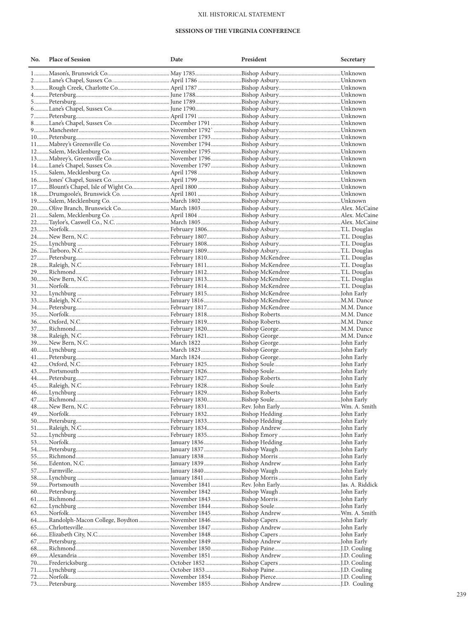## XII. HISTORICAL STATEMENT

## SESSIONS OF THE VIRGINIA CONFERENCE

| No. | <b>Place of Session</b> | Date | President | Secretary |
|-----|-------------------------|------|-----------|-----------|
|     |                         |      |           |           |
|     |                         |      |           |           |
|     |                         |      |           |           |
|     |                         |      |           |           |
|     |                         |      |           |           |
|     |                         |      |           |           |
|     |                         |      |           |           |
|     |                         |      |           |           |
|     |                         |      |           |           |
|     |                         |      |           |           |
|     |                         |      |           |           |
|     |                         |      |           |           |
|     |                         |      |           |           |
|     |                         |      |           |           |
|     |                         |      |           |           |
|     |                         |      |           |           |
|     |                         |      |           |           |
|     |                         |      |           |           |
|     |                         |      |           |           |
|     |                         |      |           |           |
|     |                         |      |           |           |
|     |                         |      |           |           |
|     |                         |      |           |           |
|     |                         |      |           |           |
|     |                         |      |           |           |
|     |                         |      |           |           |
|     |                         |      |           |           |
|     |                         |      |           |           |
|     |                         |      |           |           |
|     |                         |      |           |           |
|     |                         |      |           |           |
|     |                         |      |           |           |
|     |                         |      |           |           |
|     |                         |      |           |           |
|     |                         |      |           |           |
|     |                         |      |           |           |
|     |                         |      |           |           |
|     |                         |      |           |           |
|     |                         |      |           |           |
|     |                         |      |           |           |
|     |                         |      |           |           |
|     |                         |      |           |           |
|     |                         |      |           |           |
|     |                         |      |           |           |
|     |                         |      |           |           |
|     |                         |      |           |           |
|     |                         |      |           |           |
|     |                         |      |           |           |
|     |                         |      |           |           |
|     |                         |      |           |           |
|     |                         |      |           |           |
|     |                         |      |           |           |
|     |                         |      |           |           |
|     |                         |      |           |           |
|     |                         |      |           |           |
|     |                         |      |           |           |
|     |                         |      |           |           |
|     |                         |      |           |           |
|     |                         |      |           |           |
|     |                         |      |           |           |
|     |                         |      |           |           |
|     |                         |      |           |           |
|     |                         |      |           |           |
|     |                         |      |           |           |
|     |                         |      |           |           |
|     |                         |      |           |           |
|     |                         |      |           |           |
|     |                         |      |           |           |
|     |                         |      |           |           |
|     |                         |      |           |           |
|     |                         |      |           |           |
|     |                         |      |           |           |
|     |                         |      |           |           |
|     |                         |      |           |           |
|     |                         |      |           |           |
|     |                         |      |           |           |
|     |                         |      |           |           |
|     |                         |      |           |           |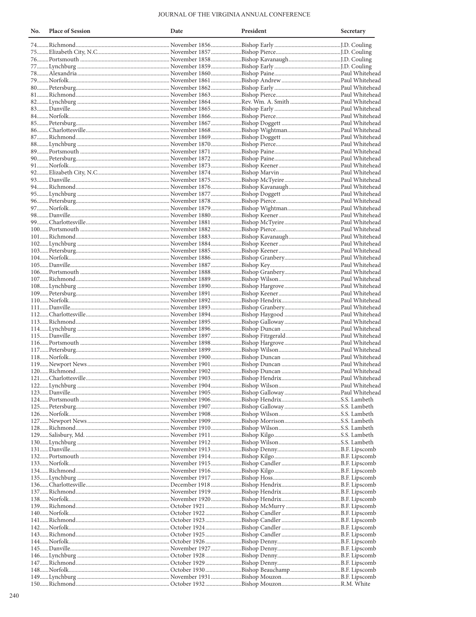## JOURNAL OF THE VIRGINIA ANNUAL CONFERENCE

| No. | <b>Place of Session</b> | Date | President | Secretary |
|-----|-------------------------|------|-----------|-----------|
|     |                         |      |           |           |
|     |                         |      |           |           |
|     |                         |      |           |           |
|     |                         |      |           |           |
|     |                         |      |           |           |
|     |                         |      |           |           |
|     |                         |      |           |           |
|     |                         |      |           |           |
|     |                         |      |           |           |
|     |                         |      |           |           |
|     |                         |      |           |           |
|     |                         |      |           |           |
|     |                         |      |           |           |
|     |                         |      |           |           |
|     |                         |      |           |           |
|     |                         |      |           |           |
|     |                         |      |           |           |
|     |                         |      |           |           |
|     |                         |      |           |           |
|     |                         |      |           |           |
|     |                         |      |           |           |
|     |                         |      |           |           |
|     |                         |      |           |           |
|     |                         |      |           |           |
|     |                         |      |           |           |
|     |                         |      |           |           |
|     |                         |      |           |           |
|     |                         |      |           |           |
|     |                         |      |           |           |
|     |                         |      |           |           |
|     |                         |      |           |           |
|     |                         |      |           |           |
|     |                         |      |           |           |
|     |                         |      |           |           |
|     |                         |      |           |           |
|     |                         |      |           |           |
|     |                         |      |           |           |
|     |                         |      |           |           |
|     |                         |      |           |           |
|     |                         |      |           |           |
|     |                         |      |           |           |
|     |                         |      |           |           |
|     |                         |      |           |           |
|     |                         |      |           |           |
|     |                         |      |           |           |
|     |                         |      |           |           |
|     |                         |      |           |           |
|     |                         |      |           |           |
|     |                         |      |           |           |
|     |                         |      |           |           |
|     |                         |      |           |           |
|     |                         |      |           |           |
|     |                         |      |           |           |
|     |                         |      |           |           |
|     |                         |      |           |           |
|     |                         |      |           |           |
|     |                         |      |           |           |
|     |                         |      |           |           |
|     |                         |      |           |           |
|     |                         |      |           |           |
|     |                         |      |           |           |
|     |                         |      |           |           |
|     |                         |      |           |           |
|     |                         |      |           |           |
|     |                         |      |           |           |
|     |                         |      |           |           |
|     |                         |      |           |           |
|     |                         |      |           |           |
|     |                         |      |           |           |
|     |                         |      |           |           |
|     |                         |      |           |           |
|     |                         |      |           |           |
|     |                         |      |           |           |
|     |                         |      |           |           |
|     |                         |      |           |           |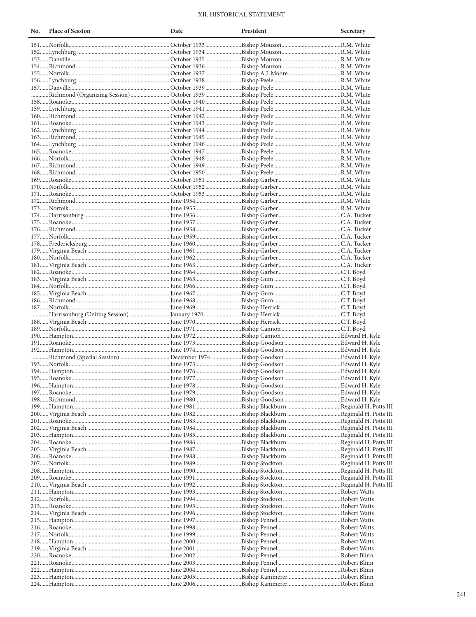## XII. HISTORICAL STATEMENT

| No. | <b>Place of Session</b> | Date | President | Secretary |
|-----|-------------------------|------|-----------|-----------|
|     |                         |      |           |           |
|     |                         |      |           |           |
|     |                         |      |           |           |
|     |                         |      |           |           |
|     |                         |      |           |           |
|     |                         |      |           |           |
|     |                         |      |           |           |
|     |                         |      |           |           |
|     |                         |      |           |           |
|     |                         |      |           |           |
|     |                         |      |           |           |
|     |                         |      |           |           |
|     |                         |      |           |           |
|     |                         |      |           |           |
|     |                         |      |           |           |
|     |                         |      |           |           |
|     |                         |      |           |           |
|     |                         |      |           |           |
|     |                         |      |           |           |
|     |                         |      |           |           |
|     |                         |      |           |           |
|     |                         |      |           |           |
|     |                         |      |           |           |
|     |                         |      |           |           |
|     |                         |      |           |           |
|     |                         |      |           |           |
|     |                         |      |           |           |
|     |                         |      |           |           |
|     |                         |      |           |           |
|     |                         |      |           |           |
|     |                         |      |           |           |
|     |                         |      |           |           |
|     |                         |      |           |           |
|     |                         |      |           |           |
|     |                         |      |           |           |
|     |                         |      |           |           |
|     |                         |      |           |           |
|     |                         |      |           |           |
|     |                         |      |           |           |
|     |                         |      |           |           |
|     |                         |      |           |           |
|     |                         |      |           |           |
|     |                         |      |           |           |
|     |                         |      |           |           |
|     |                         |      |           |           |
|     |                         |      |           |           |
|     |                         |      |           |           |
|     |                         |      |           |           |
|     |                         |      |           |           |
|     |                         |      |           |           |
|     |                         |      |           |           |
|     |                         |      |           |           |
|     |                         |      |           |           |
|     |                         |      |           |           |
|     |                         |      |           |           |
|     |                         |      |           |           |
|     |                         |      |           |           |
|     |                         |      |           |           |
|     |                         |      |           |           |
|     |                         |      |           |           |
|     |                         |      |           |           |
|     |                         |      |           |           |
|     |                         |      |           |           |
|     |                         |      |           |           |
|     |                         |      |           |           |
|     |                         |      |           |           |
|     |                         |      |           |           |
|     |                         |      |           |           |
|     |                         |      |           |           |
|     |                         |      |           |           |
|     |                         |      |           |           |
|     |                         |      |           |           |
|     |                         |      |           |           |